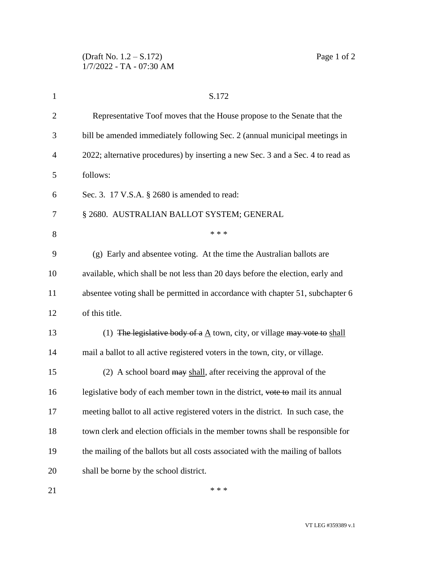| $\mathbf{1}$   | S.172                                                                             |
|----------------|-----------------------------------------------------------------------------------|
| $\overline{c}$ | Representative Toof moves that the House propose to the Senate that the           |
| 3              | bill be amended immediately following Sec. 2 (annual municipal meetings in        |
| 4              | 2022; alternative procedures) by inserting a new Sec. 3 and a Sec. 4 to read as   |
| 5              | follows:                                                                          |
| 6              | Sec. 3. 17 V.S.A. § 2680 is amended to read:                                      |
| 7              | § 2680. AUSTRALIAN BALLOT SYSTEM; GENERAL                                         |
| 8              | * * *                                                                             |
| 9              | (g) Early and absentee voting. At the time the Australian ballots are             |
| 10             | available, which shall be not less than 20 days before the election, early and    |
| 11             | absentee voting shall be permitted in accordance with chapter 51, subchapter 6    |
| 12             | of this title.                                                                    |
| 13             | (1) The legislative body of a $A$ town, city, or village may vote to shall        |
| 14             | mail a ballot to all active registered voters in the town, city, or village.      |
| 15             | (2) A school board may shall, after receiving the approval of the                 |
| 16             | legislative body of each member town in the district, vote to mail its annual     |
| 17             | meeting ballot to all active registered voters in the district. In such case, the |
| 18             | town clerk and election officials in the member towns shall be responsible for    |
| 19             | the mailing of the ballots but all costs associated with the mailing of ballots   |
| 20             | shall be borne by the school district.                                            |
|                |                                                                                   |

 $***$ 

VT LEG #359389 v.1